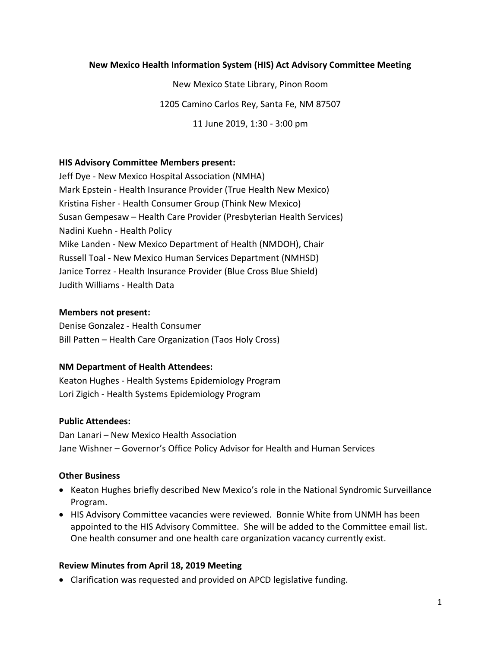#### **New Mexico Health Information System (HIS) Act Advisory Committee Meeting**

New Mexico State Library, Pinon Room 1205 Camino Carlos Rey, Santa Fe, NM 87507

11 June 2019, 1:30 - 3:00 pm

#### **HIS Advisory Committee Members present:**

Jeff Dye - New Mexico Hospital Association (NMHA) Mark Epstein - Health Insurance Provider (True Health New Mexico) Kristina Fisher - Health Consumer Group (Think New Mexico) Susan Gempesaw – Health Care Provider (Presbyterian Health Services) Nadini Kuehn - Health Policy Mike Landen - New Mexico Department of Health (NMDOH), Chair Russell Toal - New Mexico Human Services Department (NMHSD) Janice Torrez - Health Insurance Provider (Blue Cross Blue Shield) Judith Williams - Health Data

#### **Members not present:**

Denise Gonzalez - Health Consumer Bill Patten – Health Care Organization (Taos Holy Cross)

#### **NM Department of Health Attendees:**

Keaton Hughes - Health Systems Epidemiology Program Lori Zigich - Health Systems Epidemiology Program

#### **Public Attendees:**

Dan Lanari – New Mexico Health Association Jane Wishner – Governor's Office Policy Advisor for Health and Human Services

#### **Other Business**

- Keaton Hughes briefly described New Mexico's role in the National Syndromic Surveillance Program.
- HIS Advisory Committee vacancies were reviewed. Bonnie White from UNMH has been appointed to the HIS Advisory Committee. She will be added to the Committee email list. One health consumer and one health care organization vacancy currently exist.

#### **Review Minutes from April 18, 2019 Meeting**

• Clarification was requested and provided on APCD legislative funding.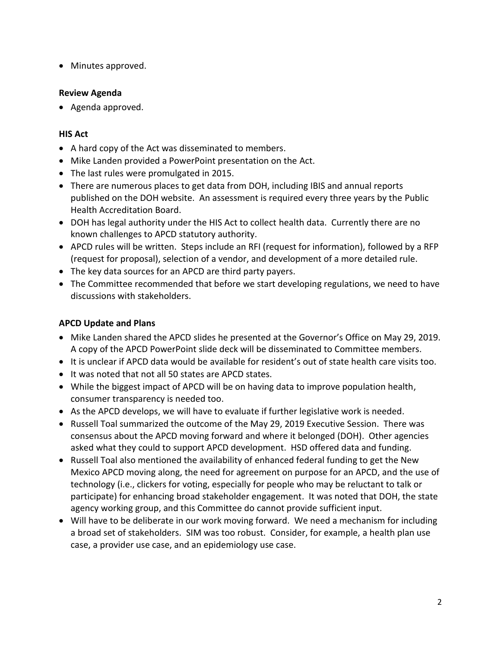• Minutes approved.

### **Review Agenda**

• Agenda approved.

### **HIS Act**

- A hard copy of the Act was disseminated to members.
- Mike Landen provided a PowerPoint presentation on the Act.
- The last rules were promulgated in 2015.
- There are numerous places to get data from DOH, including IBIS and annual reports published on the DOH website. An assessment is required every three years by the Public Health Accreditation Board.
- DOH has legal authority under the HIS Act to collect health data. Currently there are no known challenges to APCD statutory authority.
- APCD rules will be written. Steps include an RFI (request for information), followed by a RFP (request for proposal), selection of a vendor, and development of a more detailed rule.
- The key data sources for an APCD are third party payers.
- The Committee recommended that before we start developing regulations, we need to have discussions with stakeholders.

# **APCD Update and Plans**

- Mike Landen shared the APCD slides he presented at the Governor's Office on May 29, 2019. A copy of the APCD PowerPoint slide deck will be disseminated to Committee members.
- It is unclear if APCD data would be available for resident's out of state health care visits too.
- It was noted that not all 50 states are APCD states.
- While the biggest impact of APCD will be on having data to improve population health, consumer transparency is needed too.
- As the APCD develops, we will have to evaluate if further legislative work is needed.
- Russell Toal summarized the outcome of the May 29, 2019 Executive Session. There was consensus about the APCD moving forward and where it belonged (DOH). Other agencies asked what they could to support APCD development. HSD offered data and funding.
- Russell Toal also mentioned the availability of enhanced federal funding to get the New Mexico APCD moving along, the need for agreement on purpose for an APCD, and the use of technology (i.e., clickers for voting, especially for people who may be reluctant to talk or participate) for enhancing broad stakeholder engagement. It was noted that DOH, the state agency working group, and this Committee do cannot provide sufficient input.
- Will have to be deliberate in our work moving forward. We need a mechanism for including a broad set of stakeholders. SIM was too robust. Consider, for example, a health plan use case, a provider use case, and an epidemiology use case.